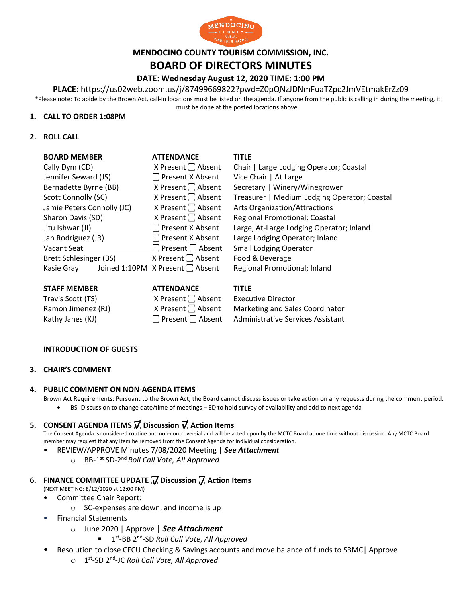

## **MENDOCINO COUNTY TOURISM COMMISSION, INC. BOARD OF DIRECTORS MINUTES**

## **DATE: Wednesday August 12, 2020 TIME: 1:00 PM**

**PLACE:** https://us02web.zoom.us/j/87499669822?pwd=Z0pQNzJDNmFuaTZpc2JmVEtmakErZz09

\*Please note: To abide by the Brown Act, call-in locations must be listed on the agenda. If anyone from the public is calling in during the meeting, it must be done at the posted locations above.

#### **1. CALL TO ORDER 1:08PM**

**2. ROLL CALL**

| <b>BOARD MEMBER</b>        | <b>ATTENDANCE</b>                | <b>TITLE</b>                                 |
|----------------------------|----------------------------------|----------------------------------------------|
| Cally Dym (CD)             | X Present $\Box$ Absent          | Chair   Large Lodging Operator; Coastal      |
| Jennifer Seward (JS)       | $\Box$ Present X Absent          | Vice Chair   At Large                        |
| Bernadette Byrne (BB)      | X Present $\Box$ Absent          | Secretary   Winery/Winegrower                |
| Scott Connolly (SC)        | X Present $\Box$ Absent          | Treasurer   Medium Lodging Operator; Coastal |
| Jamie Peters Connolly (JC) | X Present $\Box$ Absent          | Arts Organization/Attractions                |
| Sharon Davis (SD)          | X Present $\Box$ Absent          | Regional Promotional; Coastal                |
| Jitu Ishwar (JI)           | $\Box$ Present X Absent          | Large, At-Large Lodging Operator; Inland     |
| Jan Rodriguez (JR)         | $\Box$ Present X Absent          | Large Lodging Operator; Inland               |
| Vacant Seat                | $\Box$ Present $\Box$ Absent     | <b>Small Lodging Operator</b>                |
| Brett Schlesinger (BS)     | X Present $\Box$ Absent          | Food & Beverage                              |
| Kasie Gray                 | Joined 1:10PM X Present [ Absent | Regional Promotional; Inland                 |
|                            |                                  |                                              |

| <b>STAFF MEMBER</b> | <b>ATTENDANCE</b>       | <b>TITLE</b>                                              |
|---------------------|-------------------------|-----------------------------------------------------------|
| Travis Scott (TS)   | X Present $\Box$ Absent | Executive Director                                        |
| Ramon Jimenez (RJ)  |                         | $X$ Present $\Box$ Absent Marketing and Sales Coordinator |
| Kathy Janes (KJ)    |                         | <b>Present</b> Absent Administrative Services Assistant   |

#### **INTRODUCTION OF GUESTS**

#### **3. CHAIR'S COMMENT**

#### **4. PUBLIC COMMENT ON NON-AGENDA ITEMS**

Brown Act Requirements: Pursuant to the Brown Act, the Board cannot discuss issues or take action on any requests during the comment period.

• BS- Discussion to change date/time of meetings – ED to hold survey of availability and add to next agenda

## **5. CONSENT AGENDA ITEMS ꙱ Discussion ꙱ Action Items**

The Consent Agenda is considered routine and non-controversial and will be acted upon by the MCTC Board at one time without discussion. Any MCTC Board member may request that any item be removed from the Consent Agenda for individual consideration.

- REVIEW/APPROVE Minutes 7/08/2020 Meeting | *See Attachment*
	- o BB-1st SD-2nd *Roll Call Vote, All Approved*

# **6. FINANCE COMMITTEE UPDATE**  $\overline{V}$  **Discussion**  $\overline{V}$  **Action Items**

(NEXT MEETING: 8/12/2020 at 12:00 PM)

- Committee Chair Report:
	- o SC-expenses are down, and income is up
	- Financial Statements
		- o June 2020 | Approve | *See Attachment* i
			- 1<sup>st</sup>-BB 2<sup>nd</sup>-SD *Roll Call Vote, All Approved*
- Resolution to close CFCU Checking & Savings accounts and move balance of funds to SBMC | Approve
	- o 1st-SD 2nd-JC *Roll Call Vote, All Approved* e e